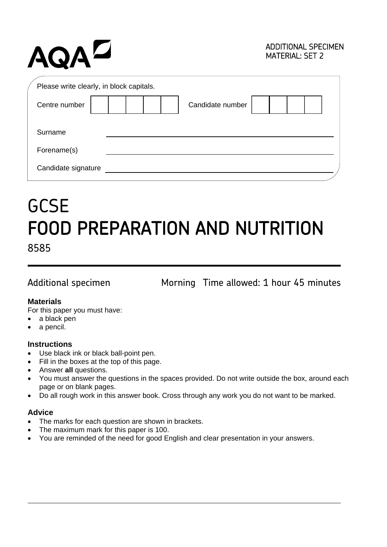# **AQAL**

#### ADDITIONAL SPECIMEN MATERIAL: SET 2

| Please write clearly, in block capitals. |                  |
|------------------------------------------|------------------|
| Centre number                            | Candidate number |
| Surname                                  |                  |
| Forename(s)                              |                  |
| Candidate signature                      |                  |

## GCSE FOOD PREPARATION AND NUTRITION

8585

Additional specimen Morning Time allowed: 1 hour 45 minutes

#### **Materials**

For this paper you must have:

- a black pen
- a pencil.

#### **Instructions**

- Use black ink or black ball-point pen.
- Fill in the boxes at the top of this page.
- Answer **all** questions.
- You must answer the questions in the spaces provided. Do not write outside the box, around each page or on blank pages.
- Do all rough work in this answer book. Cross through any work you do not want to be marked.

#### **Advice**

- The marks for each question are shown in brackets.
- The maximum mark for this paper is 100.
- You are reminded of the need for good English and clear presentation in your answers.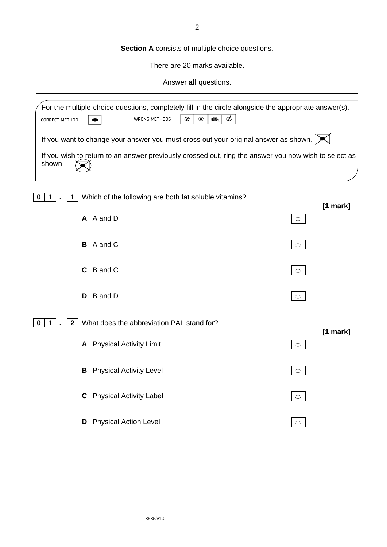**Section A** consists of multiple choice questions.

There are 20 marks available.

|  | Answer all questions. |
|--|-----------------------|
|--|-----------------------|

| CORRECT METHOD                  | For the multiple-choice questions, completely fill in the circle alongside the appropriate answer(s).<br>WRONG METHODS<br>$\circledcirc$<br>∞<br>$\Rightarrow$                                                    |         |          |
|---------------------------------|-------------------------------------------------------------------------------------------------------------------------------------------------------------------------------------------------------------------|---------|----------|
| shown.                          | If you want to change your answer you must cross out your original answer as shown. $\blacktriangleright$<br>If you wish to return to an answer previously crossed out, ring the answer you now wish to select as |         |          |
| $\mathbf 0$<br>1<br>1           | Which of the following are both fat soluble vitamins?                                                                                                                                                             |         |          |
|                                 | A A and D                                                                                                                                                                                                         | $\circ$ | [1 mark] |
|                                 | <b>B</b> A and C                                                                                                                                                                                                  | $\circ$ |          |
|                                 | C B and C                                                                                                                                                                                                         | $\circ$ |          |
| D                               | B and D                                                                                                                                                                                                           | $\circ$ |          |
| 2 <sub>1</sub><br>$\bf{0}$<br>1 | What does the abbreviation PAL stand for?                                                                                                                                                                         |         | [1 mark] |
|                                 | A Physical Activity Limit                                                                                                                                                                                         | $\circ$ |          |
| В                               | <b>Physical Activity Level</b>                                                                                                                                                                                    | $\circ$ |          |
| C                               | <b>Physical Activity Label</b>                                                                                                                                                                                    | $\circ$ |          |
| D                               | <b>Physical Action Level</b>                                                                                                                                                                                      |         |          |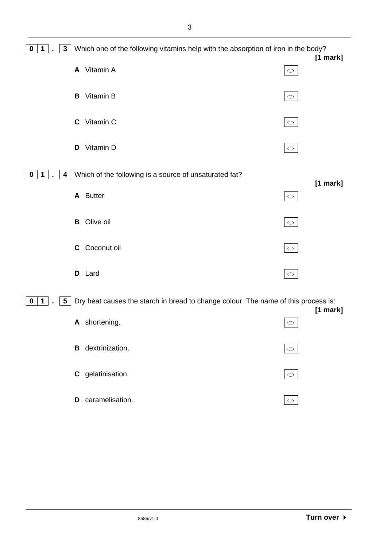| 3 <sup>1</sup><br>$\mathbf 0$<br>$\mathbf 1$  |                | Which one of the following vitamins help with the absorption of iron in the body?  |                     | [1 mark]   |
|-----------------------------------------------|----------------|------------------------------------------------------------------------------------|---------------------|------------|
|                                               |                | A Vitamin A                                                                        | $\circ$             |            |
|                                               |                | <b>B</b> Vitamin B                                                                 | $\bigcirc$          |            |
|                                               | $\mathsf{C}^-$ | Vitamin C                                                                          | $\circ$             |            |
|                                               | D              | Vitamin D                                                                          | $\bigcirc$          |            |
| $\mathbf 1$<br>$\mathbf 0$<br>4               |                | Which of the following is a source of unsaturated fat?                             |                     |            |
|                                               |                | A Butter                                                                           | $\bigcirc$          | $[1$ mark] |
|                                               | В              | Olive oil                                                                          | $\bigcirc$          |            |
|                                               |                | C Coconut oil                                                                      | $\bigcirc$          |            |
|                                               | D              | Lard                                                                               | $\circlearrowright$ |            |
| $5\phantom{.0}$<br>$\mathbf 0$<br>$\mathbf 1$ |                | Dry heat causes the starch in bread to change colour. The name of this process is: |                     | $[1$ mark] |
|                                               |                | A shortening.                                                                      | O                   |            |
|                                               |                | <b>B</b> dextrinization.                                                           | $\circ$             |            |
|                                               |                | C gelatinisation.                                                                  | $\circlearrowright$ |            |
|                                               |                | D caramelisation.                                                                  | $\circ$             |            |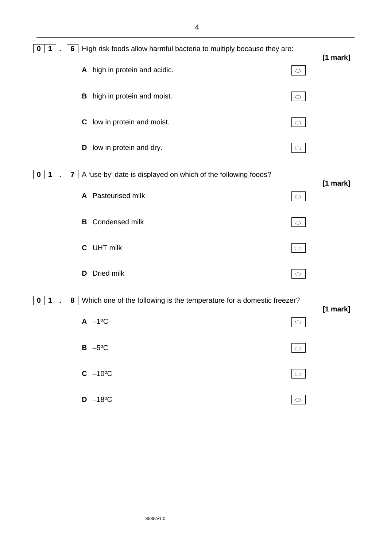| 6 <sup>1</sup><br>0<br>1           |                       | High risk foods allow harmful bacteria to multiply because they are:  |                     | $[1$ mark] |
|------------------------------------|-----------------------|-----------------------------------------------------------------------|---------------------|------------|
|                                    |                       | A high in protein and acidic.                                         | $\bigcirc$          |            |
|                                    | Β                     | high in protein and moist.                                            | $\circlearrowright$ |            |
|                                    | C                     | low in protein and moist.                                             | $\bigcirc$          |            |
|                                    | D                     | low in protein and dry.                                               | $\circlearrowright$ |            |
| $\mathbf 1$<br>7 <sup>1</sup><br>0 |                       | A 'use by' date is displayed on which of the following foods?         |                     | [1 mark]   |
|                                    |                       | A Pasteurised milk                                                    | $\bigcirc$          |            |
|                                    | В                     | Condensed milk                                                        | $\circlearrowright$ |            |
|                                    | <b>UHT</b> milk<br>C  |                                                                       | $\bigcirc$          |            |
|                                    | Dried milk<br>D       |                                                                       | $\bigcirc$          |            |
| $\mathbf 1$<br>8<br>0              |                       | Which one of the following is the temperature for a domestic freezer? |                     | [1 mark]   |
|                                    | $A -1$ <sup>o</sup> C |                                                                       | ب                   |            |
|                                    | $B -5^{\circ}C$       |                                                                       | $\circ$             |            |
|                                    | $C -10^{\circ}C$      |                                                                       | $\circ$             |            |
|                                    | $D -18^{\circ}C$      |                                                                       | $\bigcirc$          |            |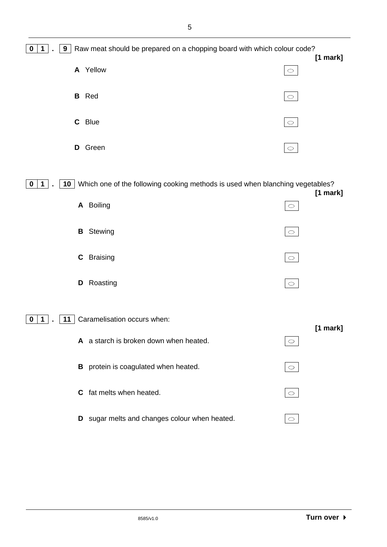| $\mathbf 1$<br>9<br>$\mathbf 0$  | Raw meat should be prepared on a chopping board with which colour code?<br>$[1$ mark] |            |            |  |
|----------------------------------|---------------------------------------------------------------------------------------|------------|------------|--|
|                                  | A Yellow                                                                              | $\circ$    |            |  |
|                                  | <b>B</b> Red                                                                          | $\bigcirc$ |            |  |
|                                  | C Blue                                                                                | $\bigcirc$ |            |  |
| D                                | Green                                                                                 | $\bigcirc$ |            |  |
| 10 <sup>1</sup><br>1<br>$\bf{0}$ | Which one of the following cooking methods is used when blanching vegetables?         |            | [1 mark]   |  |
|                                  | A Boiling                                                                             | $\bigcirc$ |            |  |
|                                  | Stewing<br>B                                                                          | $\bigcirc$ |            |  |
|                                  | <b>Braising</b><br>C                                                                  | $\bigcirc$ |            |  |
| D                                | Roasting                                                                              | $\bigcirc$ |            |  |
| 11<br>1<br>$\mathbf 0$           | Caramelisation occurs when:                                                           |            | $[1$ mark] |  |
|                                  | A a starch is broken down when heated.                                                |            |            |  |
|                                  | <b>B</b> protein is coagulated when heated.                                           | $\bigcirc$ |            |  |
|                                  | C fat melts when heated.                                                              | $\circ$    |            |  |
|                                  | D sugar melts and changes colour when heated.                                         | O          |            |  |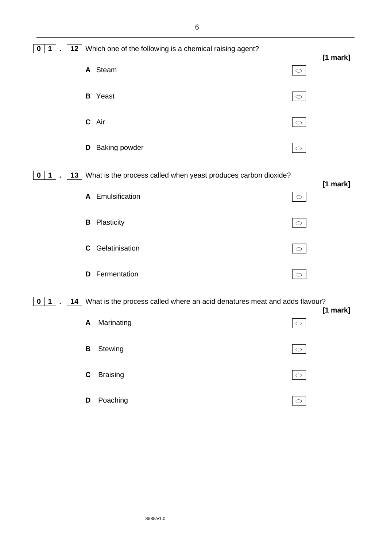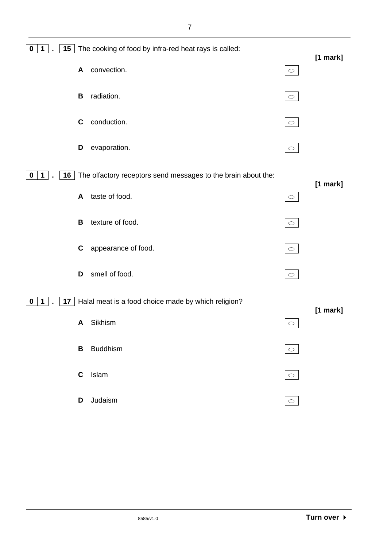**0 1. 15** The cooking of food by infra-red heat rays is called:  **[1 mark] A** convection.  $\circlearrowright$  **B** radiation.  $\circ$  **C** conduction.  $\bigcirc$  **D** evaporation.  $\circlearrowright$ **0** 1. **16** The olfactory receptors send messages to the brain about the:  **[1 mark] A** taste of food.  $\circlearrowright$  **B** texture of food.  $\circlearrowright$  **C** appearance of food.  $\circ$  **D** smell of food.  $\circ$ **0 1.** THE Halal meat is a food choice made by which religion?  **[1 mark] A** Sikhism  $\circlearrowright$  **B** Buddhism  $\circlearrowright$  **C** Islam  $\circlearrowright$ 

 $\circlearrowright$ 

 **D** Judaism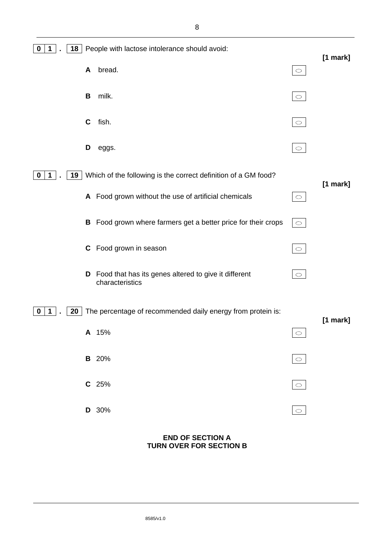| $\bf{0}$<br>1 | 18 | People with lactose intolerance should avoid: |                                                                         |                     |          |
|---------------|----|-----------------------------------------------|-------------------------------------------------------------------------|---------------------|----------|
|               |    | A                                             | bread.                                                                  | $\bigcirc$          | [1 mark] |
|               |    | B                                             | milk.                                                                   | $\circ$             |          |
|               |    | C                                             | fish.                                                                   | $\circ$             |          |
|               |    | D                                             | eggs.                                                                   | $\circlearrowright$ |          |
| $\bf{0}$      | 19 |                                               | Which of the following is the correct definition of a GM food?          |                     | [1 mark] |
|               |    |                                               | A Food grown without the use of artificial chemicals                    | $\circlearrowright$ |          |
|               |    | В                                             | Food grown where farmers get a better price for their crops             | $\circlearrowright$ |          |
|               |    | C                                             | Food grown in season                                                    | $\circlearrowright$ |          |
|               |    | D                                             | Food that has its genes altered to give it different<br>characteristics | $\circ$             |          |
| $\mathbf 0$   | 20 |                                               | The percentage of recommended daily energy from protein is:             |                     | [1 mark] |
|               |    |                                               | A 15%                                                                   | $\bigcirc$          |          |
|               |    |                                               | <b>B</b> 20%                                                            | $\circlearrowright$ |          |
|               |    |                                               | $C$ 25%                                                                 | $\circ$             |          |
|               |    |                                               | D 30%                                                                   | $\circ$             |          |
|               |    |                                               |                                                                         |                     |          |

#### **END OF SECTION A TURN OVER FOR SECTION B**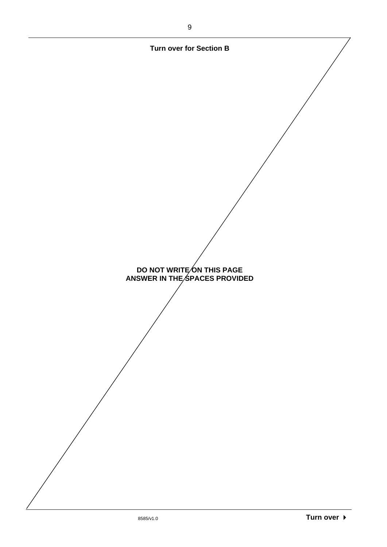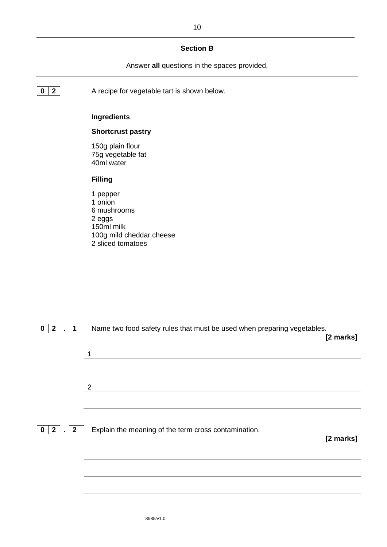#### **Section B**

Answer **all** questions in the spaces provided.

| $\mathbf{2}$<br>0                                 | A recipe for vegetable tart is shown below.                                                                 |
|---------------------------------------------------|-------------------------------------------------------------------------------------------------------------|
|                                                   | Ingredients                                                                                                 |
|                                                   | <b>Shortcrust pastry</b>                                                                                    |
|                                                   | 150g plain flour<br>75g vegetable fat<br>40ml water                                                         |
|                                                   | <b>Filling</b>                                                                                              |
|                                                   | 1 pepper<br>1 onion<br>6 mushrooms<br>2 eggs<br>150ml milk<br>100g mild cheddar cheese<br>2 sliced tomatoes |
| $0 \mid 2 \mid$<br>$\overline{1}$<br>$\mathbf{r}$ | Name two food safety rules that must be used when preparing vegetables.<br>[2 marks]<br>1                   |
|                                                   |                                                                                                             |
|                                                   | $\overline{2}$                                                                                              |
|                                                   |                                                                                                             |
| $0$   2   .<br>$\overline{2}$                     | Explain the meaning of the term cross contamination.<br>[2 marks]                                           |
|                                                   |                                                                                                             |
|                                                   |                                                                                                             |
|                                                   |                                                                                                             |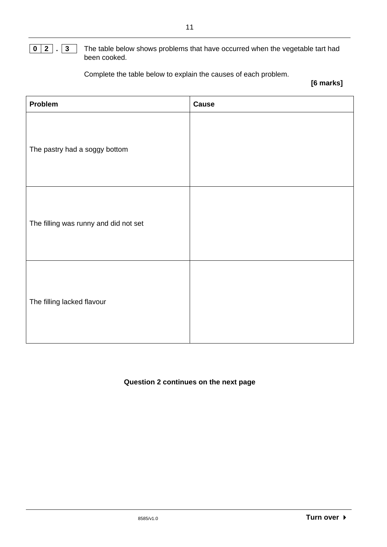#### **0 2 . 3** The table below shows problems that have occurred when the vegetable tart had been cooked.

Complete the table below to explain the causes of each problem.

**[6 marks]** 

| Problem                               | <b>Cause</b> |
|---------------------------------------|--------------|
| The pastry had a soggy bottom         |              |
| The filling was runny and did not set |              |
| The filling lacked flavour            |              |

#### **Question 2 continues on the next page**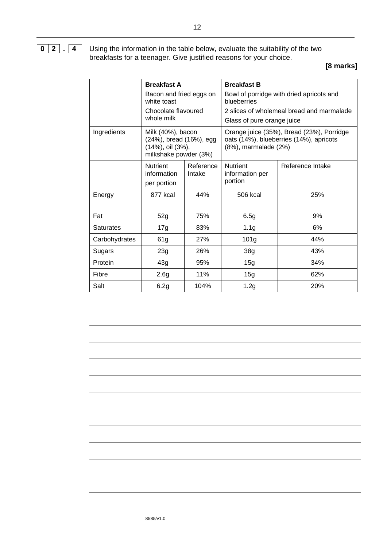#### **0** | **2** | . | **4** | Using the information in the table below, evaluate the suitability of the two breakfasts for a teenager. Give justified reasons for your choice.

**[8 marks]** 

|               | <b>Breakfast A</b>                                                                        |                     | <b>Breakfast B</b>                                                                                           |                  |  |
|---------------|-------------------------------------------------------------------------------------------|---------------------|--------------------------------------------------------------------------------------------------------------|------------------|--|
|               | Bacon and fried eggs on<br>white toast                                                    |                     | Bowl of porridge with dried apricots and<br>blueberries                                                      |                  |  |
|               | Chocolate flavoured                                                                       |                     | 2 slices of wholemeal bread and marmalade                                                                    |                  |  |
|               | whole milk                                                                                |                     | Glass of pure orange juice                                                                                   |                  |  |
| Ingredients   | Milk (40%), bacon<br>(24%), bread (16%), egg<br>(14%), oil (3%),<br>milkshake powder (3%) |                     | Orange juice (35%), Bread (23%), Porridge<br>oats (14%), blueberries (14%), apricots<br>(8%), marmalade (2%) |                  |  |
|               | <b>Nutrient</b><br>information<br>per portion                                             | Reference<br>Intake | <b>Nutrient</b><br>information per<br>portion                                                                | Reference Intake |  |
| Energy        | 877 kcal                                                                                  | 44%                 | 506 kcal                                                                                                     | 25%              |  |
| Fat           | 52g                                                                                       | 75%                 | 6.5g                                                                                                         | 9%               |  |
| Saturates     | 17g                                                                                       | 83%                 | 1.1 <sub>g</sub>                                                                                             | 6%               |  |
| Carbohydrates | 61g                                                                                       | 27%                 | 101 <sub>g</sub>                                                                                             | 44%              |  |
| Sugars        | 23g                                                                                       | 26%                 | 38g                                                                                                          | 43%              |  |
| Protein       | 43g                                                                                       | 95%                 | 15g                                                                                                          | 34%              |  |
| Fibre         | 2.6 <sub>g</sub>                                                                          | 11%                 | 15g                                                                                                          | 62%              |  |
| Salt          | 6.2g                                                                                      | 104%                | 1.2g                                                                                                         | 20%              |  |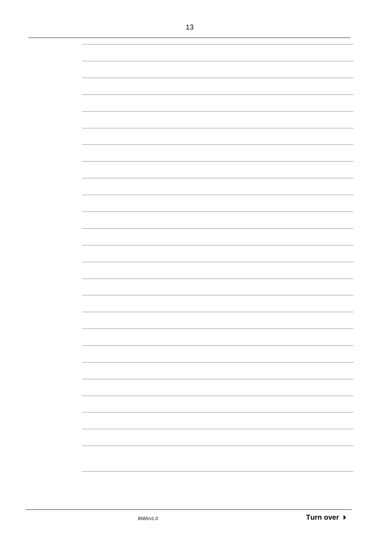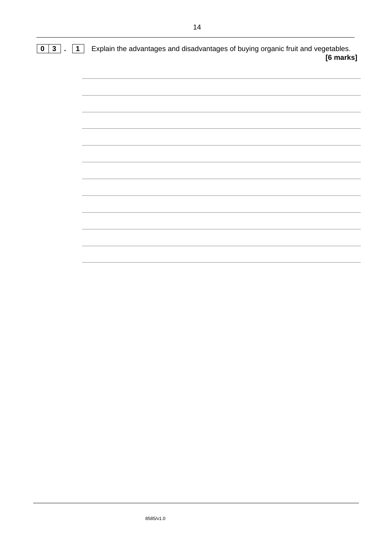**0 3** . 1 Explain the advantages and disadvantages of buying organic fruit and vegetables. **[6 marks]**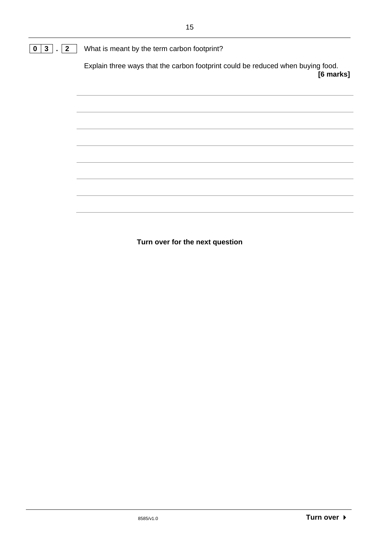### **0 3 . 2** What is meant by the term carbon footprint?

Explain three ways that the carbon footprint could be reduced when buying food. **[6 marks]** 

**Turn over for the next question**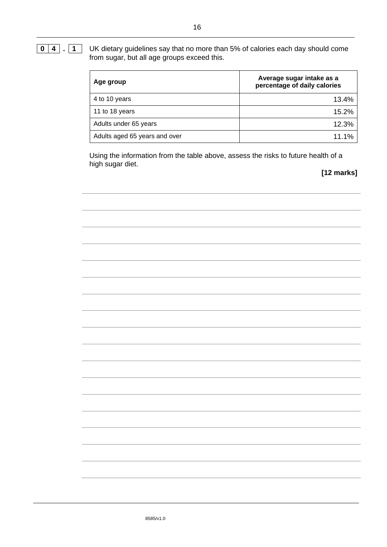**0 4.** 1 UK dietary guidelines say that no more than 5% of calories each day should come from sugar, but all age groups exceed this.

| Age group                     | Average sugar intake as a<br>percentage of daily calories |
|-------------------------------|-----------------------------------------------------------|
| 4 to 10 years                 | 13.4%                                                     |
| 11 to 18 years                | 15.2%                                                     |
| Adults under 65 years         | 12.3%                                                     |
| Adults aged 65 years and over | 11.1%                                                     |

Using the information from the table above, assess the risks to future health of a high sugar diet.

#### **[12 marks]**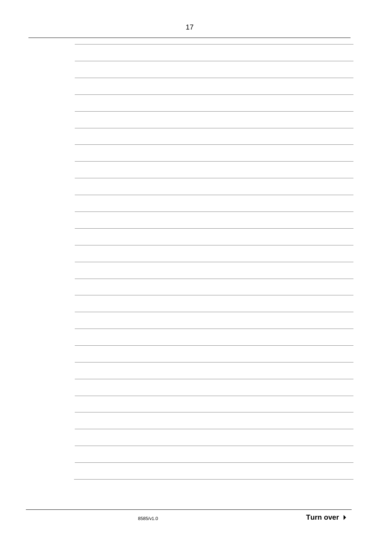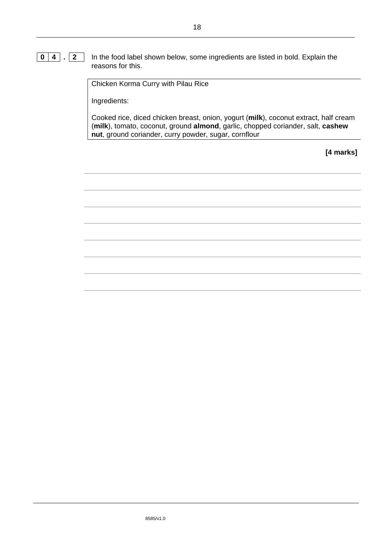**0 4. 2** In the food label shown below, some ingredients are listed in bold. Explain the reasons for this.

Chicken Korma Curry with Pilau Rice

Ingredients:

Cooked rice, diced chicken breast, onion, yogurt (**milk**), coconut extract, half cream (**milk**), tomato, coconut, ground **almond**, garlic, chopped coriander, salt, **cashew nut**, ground coriander, curry powder, sugar, cornflour

**[4 marks]**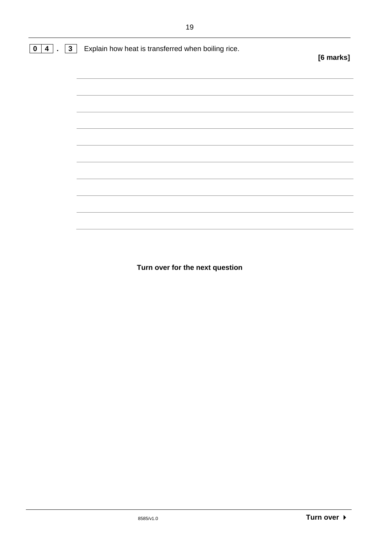| 0  4   3 | Explain how heat is transferred when boiling rice. | [6 marks] |
|----------|----------------------------------------------------|-----------|
|          |                                                    |           |
|          |                                                    |           |
|          |                                                    |           |
|          |                                                    |           |
|          |                                                    |           |
|          |                                                    |           |
|          |                                                    |           |
|          |                                                    |           |
|          |                                                    |           |
|          |                                                    |           |

**Turn over for the next question**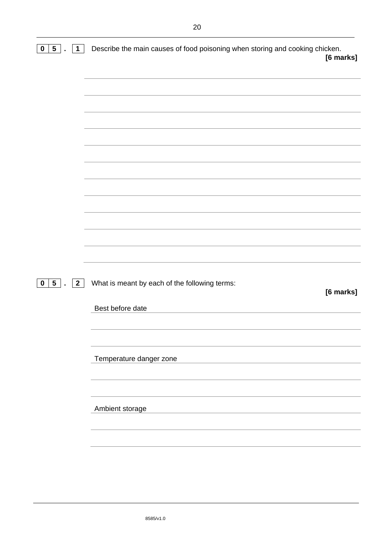| 5 <sub>5</sub><br>$\mathbf 0$ | Describe the main causes of food poisoning when storing and cooking chicken.<br>$\mathbf 1$ | [6 marks] |
|-------------------------------|---------------------------------------------------------------------------------------------|-----------|
|                               |                                                                                             |           |
|                               |                                                                                             |           |
|                               |                                                                                             |           |
|                               |                                                                                             |           |
|                               |                                                                                             |           |
|                               |                                                                                             |           |
|                               |                                                                                             |           |
|                               |                                                                                             |           |
| $5$  .<br>$\mathbf 0$         | What is meant by each of the following terms:<br>2 <sup>1</sup>                             | [6 marks] |
|                               | Best before date                                                                            |           |
|                               |                                                                                             |           |
|                               | Temperature danger zone                                                                     |           |
|                               |                                                                                             |           |
|                               | Ambient storage                                                                             |           |
|                               |                                                                                             |           |
|                               |                                                                                             |           |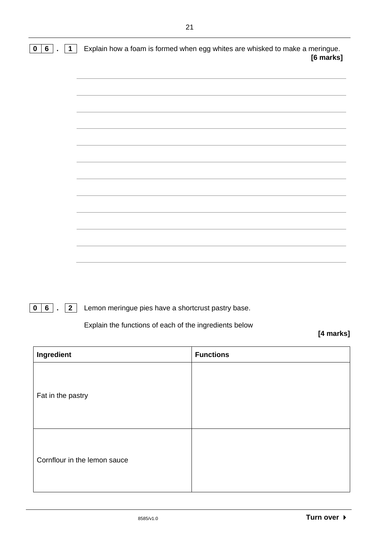| $\pmb{0}$   | 6 <sup>1</sup>    | Г. | $\overline{1}$ |                                                        | Explain how a foam is formed when egg whites are whisked to make a meringue. | [6 marks] |
|-------------|-------------------|----|----------------|--------------------------------------------------------|------------------------------------------------------------------------------|-----------|
|             |                   |    |                |                                                        |                                                                              |           |
|             |                   |    |                |                                                        |                                                                              |           |
|             |                   |    |                |                                                        |                                                                              |           |
|             |                   |    |                |                                                        |                                                                              |           |
|             |                   |    |                |                                                        |                                                                              |           |
|             |                   |    |                |                                                        |                                                                              |           |
|             |                   |    |                |                                                        |                                                                              |           |
|             |                   |    |                |                                                        |                                                                              |           |
|             |                   |    |                |                                                        |                                                                              |           |
|             |                   |    |                |                                                        |                                                                              |           |
|             |                   |    |                |                                                        |                                                                              |           |
|             |                   |    |                |                                                        |                                                                              |           |
|             |                   |    |                |                                                        |                                                                              |           |
|             |                   |    |                |                                                        |                                                                              |           |
|             |                   |    |                |                                                        |                                                                              |           |
|             |                   |    |                |                                                        |                                                                              |           |
|             |                   |    |                |                                                        |                                                                              |           |
|             |                   |    |                |                                                        |                                                                              |           |
| $\mathbf 0$ | $6$ .             |    | 2 <sup>1</sup> | Lemon meringue pies have a shortcrust pastry base.     |                                                                              |           |
|             |                   |    |                | Explain the functions of each of the ingredients below |                                                                              |           |
|             |                   |    |                |                                                        |                                                                              | [4 marks] |
|             | Ingredient        |    |                |                                                        | <b>Functions</b>                                                             |           |
|             |                   |    |                |                                                        |                                                                              |           |
|             |                   |    |                |                                                        |                                                                              |           |
|             | Fat in the pastry |    |                |                                                        |                                                                              |           |
|             |                   |    |                |                                                        |                                                                              |           |
|             |                   |    |                |                                                        |                                                                              |           |
|             |                   |    |                |                                                        |                                                                              |           |
|             |                   |    |                |                                                        |                                                                              |           |
|             |                   |    |                |                                                        |                                                                              |           |
|             |                   |    |                | Cornflour in the lemon sauce                           |                                                                              |           |
|             |                   |    |                |                                                        |                                                                              |           |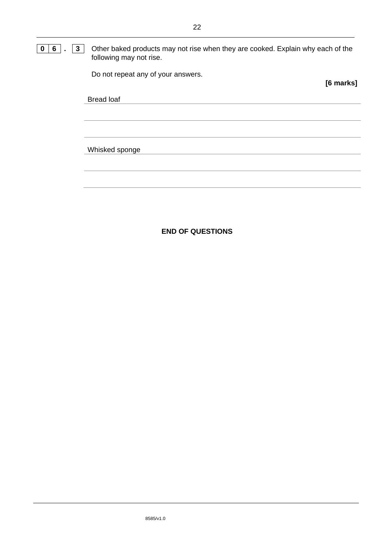#### **0 6 . 3** Other baked products may not rise when they are cooked. Explain why each of the following may not rise.

Do not repeat any of your answers.

**[6 marks]** 

Whisked sponge

Bread loaf

**END OF QUESTIONS**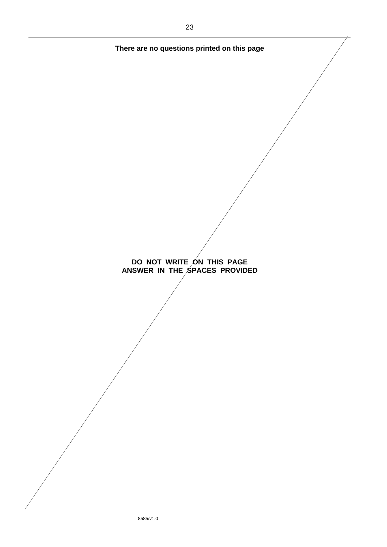

Í